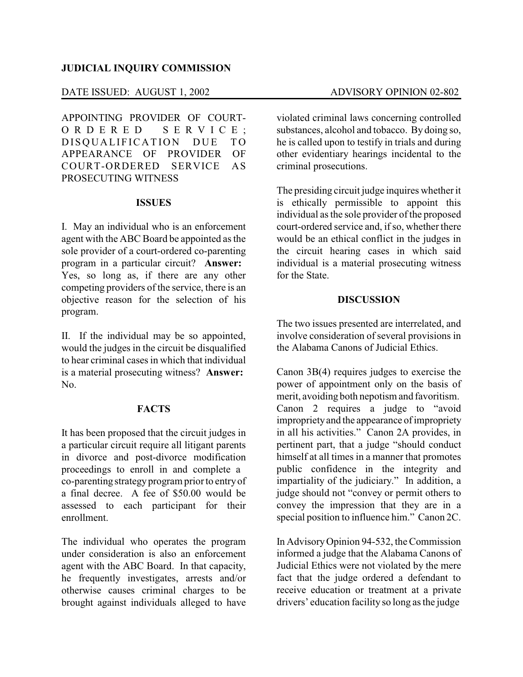### **JUDICIAL INQUIRY COMMISSION**

#### DATE ISSUED: AUGUST 1, 2002 ADVISORY OPINION 02-802

APPOINTING PROVIDER OF COURT-O R D E R E D S E R V I C E : DISOUALIFICATION DUE TO APPEARANCE OF PROVIDER OF COURT-ORDERED SERVICE AS PROSECUTING WITNESS

### **ISSUES**

I. May an individual who is an enforcement agent with the ABC Board be appointed as the sole provider of a court-ordered co-parenting program in a particular circuit? **Answer:** Yes, so long as, if there are any other competing providers of the service, there is an objective reason for the selection of his program.

II. If the individual may be so appointed, would the judges in the circuit be disqualified to hear criminal cases in which that individual is a material prosecuting witness? **Answer:** No.

## **FACTS**

It has been proposed that the circuit judges in a particular circuit require all litigant parents in divorce and post-divorce modification proceedings to enroll in and complete a co-parenting strategyprogram prior to entryof a final decree. A fee of \$50.00 would be assessed to each participant for their enrollment.

The individual who operates the program under consideration is also an enforcement agent with the ABC Board. In that capacity, he frequently investigates, arrests and/or otherwise causes criminal charges to be brought against individuals alleged to have violated criminal laws concerning controlled substances, alcohol and tobacco. By doing so, he is called upon to testify in trials and during other evidentiary hearings incidental to the criminal prosecutions.

The presiding circuit judge inquires whetherit is ethically permissible to appoint this individual as the sole provider of the proposed court-ordered service and, if so, whether there would be an ethical conflict in the judges in the circuit hearing cases in which said individual is a material prosecuting witness for the State.

#### **DISCUSSION**

The two issues presented are interrelated, and involve consideration of several provisions in the Alabama Canons of Judicial Ethics.

Canon 3B(4) requires judges to exercise the power of appointment only on the basis of merit, avoiding both nepotism and favoritism. Canon 2 requires a judge to "avoid improprietyand the appearance of impropriety in all his activities." Canon 2A provides, in pertinent part, that a judge "should conduct himself at all times in a manner that promotes public confidence in the integrity and impartiality of the judiciary." In addition, a judge should not "convey or permit others to convey the impression that they are in a special position to influence him." Canon 2C.

In AdvisoryOpinion 94-532, the Commission informed a judge that the Alabama Canons of Judicial Ethics were not violated by the mere fact that the judge ordered a defendant to receive education or treatment at a private drivers' education facility so long as the judge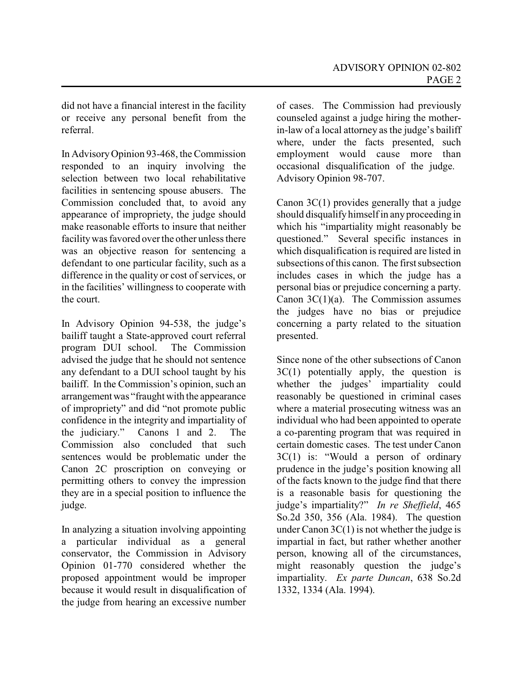did not have a financial interest in the facility or receive any personal benefit from the referral.

In AdvisoryOpinion 93-468, the Commission responded to an inquiry involving the selection between two local rehabilitative facilities in sentencing spouse abusers. The Commission concluded that, to avoid any appearance of impropriety, the judge should make reasonable efforts to insure that neither facilitywas favored over the other unless there was an objective reason for sentencing a defendant to one particular facility, such as a difference in the quality or cost of services, or in the facilities' willingness to cooperate with the court.

In Advisory Opinion 94-538, the judge's bailiff taught a State-approved court referral program DUI school. The Commission advised the judge that he should not sentence any defendant to a DUI school taught by his bailiff. In the Commission's opinion, such an arrangement was "fraught with the appearance of impropriety" and did "not promote public confidence in the integrity and impartiality of the judiciary." Canons 1 and 2. The Commission also concluded that such sentences would be problematic under the Canon 2C proscription on conveying or permitting others to convey the impression they are in a special position to influence the judge.

In analyzing a situation involving appointing a particular individual as a general conservator, the Commission in Advisory Opinion 01-770 considered whether the proposed appointment would be improper because it would result in disqualification of the judge from hearing an excessive number

of cases. The Commission had previously counseled against a judge hiring the motherin-law of a local attorney as the judge's bailiff where, under the facts presented, such employment would cause more than occasional disqualification of the judge. Advisory Opinion 98-707.

Canon 3C(1) provides generally that a judge should disqualify himself in any proceeding in which his "impartiality might reasonably be questioned." Several specific instances in which disqualification is required are listed in subsections of this canon. The first subsection includes cases in which the judge has a personal bias or prejudice concerning a party. Canon  $3C(1)(a)$ . The Commission assumes the judges have no bias or prejudice concerning a party related to the situation presented.

Since none of the other subsections of Canon  $3C(1)$  potentially apply, the question is whether the judges' impartiality could reasonably be questioned in criminal cases where a material prosecuting witness was an individual who had been appointed to operate a co-parenting program that was required in certain domestic cases. The test under Canon 3C(1) is: "Would a person of ordinary prudence in the judge's position knowing all of the facts known to the judge find that there is a reasonable basis for questioning the judge's impartiality?" *In re Sheffield*, 465 So.2d 350, 356 (Ala. 1984). The question under Canon  $3C(1)$  is not whether the judge is impartial in fact, but rather whether another person, knowing all of the circumstances, might reasonably question the judge's impartiality. *Ex parte Duncan*, 638 So.2d 1332, 1334 (Ala. 1994).